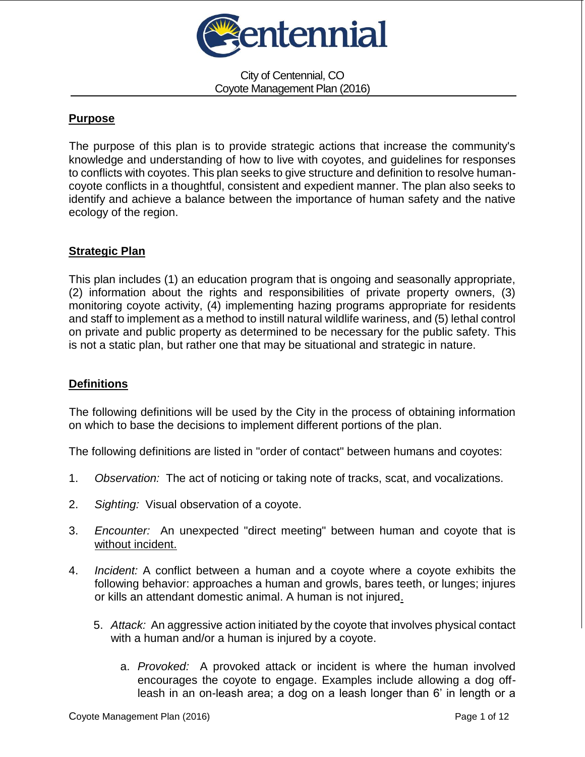

City of Centennial, CO Coyote Management Plan (2016)

# **Purpose**

The purpose of this plan is to provide strategic actions that increase the community's knowledge and understanding of how to live with coyotes, and guidelines for responses to conflicts with coyotes. This plan seeks to give structure and definition to resolve humancoyote conflicts in a thoughtful, consistent and expedient manner. The plan also seeks to identify and achieve a balance between the importance of human safety and the native ecology of the region.

### **Strategic Plan**

This plan includes (1) an education program that is ongoing and seasonally appropriate, (2) information about the rights and responsibilities of private property owners, (3) monitoring coyote activity, (4) implementing hazing programs appropriate for residents and staff to implement as a method to instill natural wildlife wariness, and (5) lethal control on private and public property as determined to be necessary for the public safety. This is not a static plan, but rather one that may be situational and strategic in nature.

# **Definitions**

The following definitions will be used by the City in the process of obtaining information on which to base the decisions to implement different portions of the plan.

The following definitions are listed in "order of contact" between humans and coyotes:

- 1. *Observation:* The act of noticing or taking note of tracks, scat, and vocalizations.
- 2. *Sighting:* Visual observation of a coyote.
- 3. *Encounter:* An unexpected "direct meeting" between human and coyote that is without incident.
- 4. *Incident:* A conflict between a human and a coyote where a coyote exhibits the following behavior: approaches a human and growls, bares teeth, or lunges; injures or kills an attendant domestic animal. A human is not injured.
	- 5. *Attack:* An aggressive action initiated by the coyote that involves physical contact with a human and/or a human is injured by a coyote.
		- a. *Provoked:* A provoked attack or incident is where the human involved encourages the coyote to engage. Examples include allowing a dog offleash in an on-leash area; a dog on a leash longer than 6' in length or a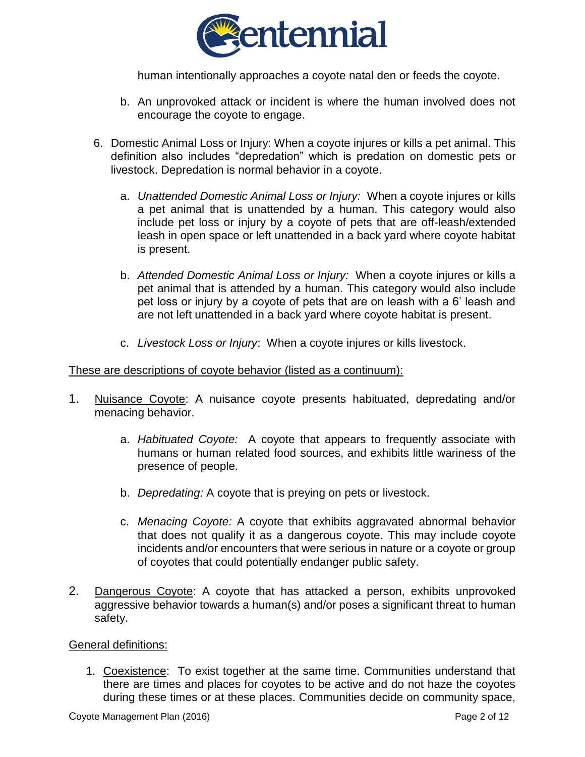

human intentionally approaches a coyote natal den or feeds the coyote.

- b. An unprovoked attack or incident is where the human involved does not encourage the coyote to engage.
- 6. Domestic Animal Loss or Injury: When a coyote injures or kills a pet animal. This definition also includes "depredation" which is predation on domestic pets or livestock. Depredation is normal behavior in a coyote.
	- a. *Unattended Domestic Animal Loss or Injury:* When a coyote injures or kills a pet animal that is unattended by a human. This category would also include pet loss or injury by a coyote of pets that are off-leash/extended leash in open space or left unattended in a back yard where coyote habitat is present.
	- b. *Attended Domestic Animal Loss or Injury:* When a coyote injures or kills a pet animal that is attended by a human. This category would also include pet loss or injury by a coyote of pets that are on leash with a 6' leash and are not left unattended in a back yard where coyote habitat is present.
	- c. *Livestock Loss or Injury*: When a coyote injures or kills livestock.

### These are descriptions of coyote behavior (listed as a continuum):

- 1. Nuisance Coyote: A nuisance coyote presents habituated, depredating and/or menacing behavior.
	- a. *Habituated Coyote:* A coyote that appears to frequently associate with humans or human related food sources, and exhibits little wariness of the presence of people.
	- b. *Depredating:* A coyote that is preying on pets or livestock.
	- c. *Menacing Coyote:* A coyote that exhibits aggravated abnormal behavior that does not qualify it as a dangerous coyote. This may include coyote incidents and/or encounters that were serious in nature or a coyote or group of coyotes that could potentially endanger public safety.
- 2. Dangerous Coyote: A coyote that has attacked a person, exhibits unprovoked aggressive behavior towards a human(s) and/or poses a significant threat to human safety.

#### General definitions:

1. Coexistence: To exist together at the same time. Communities understand that there are times and places for coyotes to be active and do not haze the coyotes during these times or at these places. Communities decide on community space,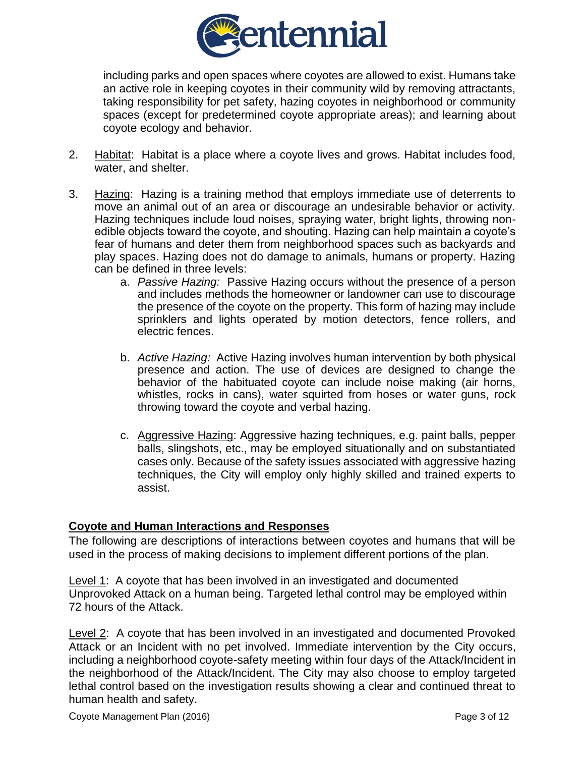

including parks and open spaces where coyotes are allowed to exist. Humans take an active role in keeping coyotes in their community wild by removing attractants, taking responsibility for pet safety, hazing coyotes in neighborhood or community spaces (except for predetermined coyote appropriate areas); and learning about coyote ecology and behavior.

- 2. Habitat: Habitat is a place where a coyote lives and grows. Habitat includes food, water, and shelter.
- 3. Hazing: Hazing is a training method that employs immediate use of deterrents to move an animal out of an area or discourage an undesirable behavior or activity. Hazing techniques include loud noises, spraying water, bright lights, throwing nonedible objects toward the coyote, and shouting. Hazing can help maintain a coyote's fear of humans and deter them from neighborhood spaces such as backyards and play spaces. Hazing does not do damage to animals, humans or property. Hazing can be defined in three levels:
	- a. *Passive Hazing:* Passive Hazing occurs without the presence of a person and includes methods the homeowner or landowner can use to discourage the presence of the coyote on the property. This form of hazing may include sprinklers and lights operated by motion detectors, fence rollers, and electric fences.
	- b. *Active Hazing:* Active Hazing involves human intervention by both physical presence and action. The use of devices are designed to change the behavior of the habituated coyote can include noise making (air horns, whistles, rocks in cans), water squirted from hoses or water guns, rock throwing toward the coyote and verbal hazing.
	- c. Aggressive Hazing: Aggressive hazing techniques, e.g. paint balls, pepper balls, slingshots, etc., may be employed situationally and on substantiated cases only. Because of the safety issues associated with aggressive hazing techniques, the City will employ only highly skilled and trained experts to assist.

### **Coyote and Human Interactions and Responses**

The following are descriptions of interactions between coyotes and humans that will be used in the process of making decisions to implement different portions of the plan.

Level 1: A coyote that has been involved in an investigated and documented Unprovoked Attack on a human being. Targeted lethal control may be employed within 72 hours of the Attack.

Level 2: A coyote that has been involved in an investigated and documented Provoked Attack or an Incident with no pet involved. Immediate intervention by the City occurs, including a neighborhood coyote-safety meeting within four days of the Attack/Incident in the neighborhood of the Attack/Incident. The City may also choose to employ targeted lethal control based on the investigation results showing a clear and continued threat to human health and safety.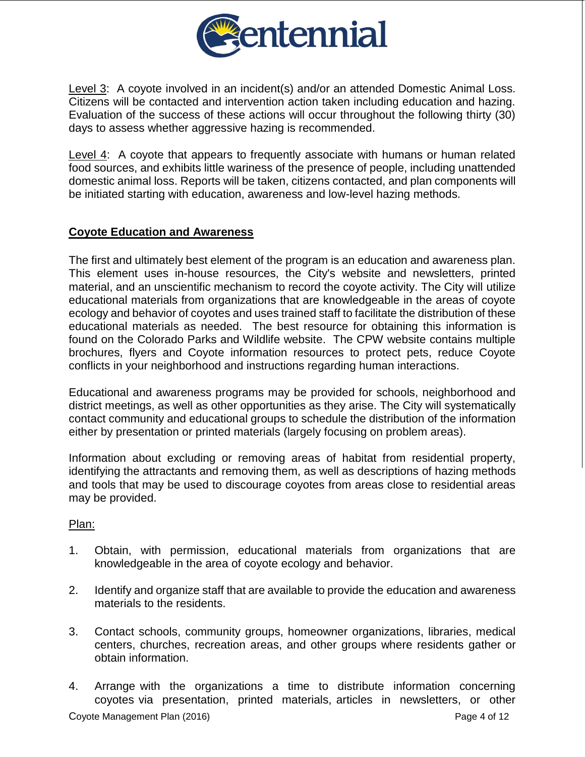

Level 3: A coyote involved in an incident(s) and/or an attended Domestic Animal Loss. Citizens will be contacted and intervention action taken including education and hazing. Evaluation of the success of these actions will occur throughout the following thirty (30) days to assess whether aggressive hazing is recommended.

Level 4: A coyote that appears to frequently associate with humans or human related food sources, and exhibits little wariness of the presence of people, including unattended domestic animal loss. Reports will be taken, citizens contacted, and plan components will be initiated starting with education, awareness and low-level hazing methods.

# **Coyote Education and Awareness**

The first and ultimately best element of the program is an education and awareness plan. This element uses in-house resources, the City's website and newsletters, printed material, and an unscientific mechanism to record the coyote activity. The City will utilize educational materials from organizations that are knowledgeable in the areas of coyote ecology and behavior of coyotes and uses trained staff to facilitate the distribution of these educational materials as needed. The best resource for obtaining this information is found on the Colorado Parks and Wildlife website. The CPW website contains multiple brochures, flyers and Coyote information resources to protect pets, reduce Coyote conflicts in your neighborhood and instructions regarding human interactions.

Educational and awareness programs may be provided for schools, neighborhood and district meetings, as well as other opportunities as they arise. The City will systematically contact community and educational groups to schedule the distribution of the information either by presentation or printed materials (largely focusing on problem areas).

Information about excluding or removing areas of habitat from residential property, identifying the attractants and removing them, as well as descriptions of hazing methods and tools that may be used to discourage coyotes from areas close to residential areas may be provided.

### Plan:

- 1. Obtain, with permission, educational materials from organizations that are knowledgeable in the area of coyote ecology and behavior.
- 2. Identify and organize staff that are available to provide the education and awareness materials to the residents.
- 3. Contact schools, community groups, homeowner organizations, libraries, medical centers, churches, recreation areas, and other groups where residents gather or obtain information.
- 4. Arrange with the organizations a time to distribute information concerning coyotes via presentation, printed materials, articles in newsletters, or other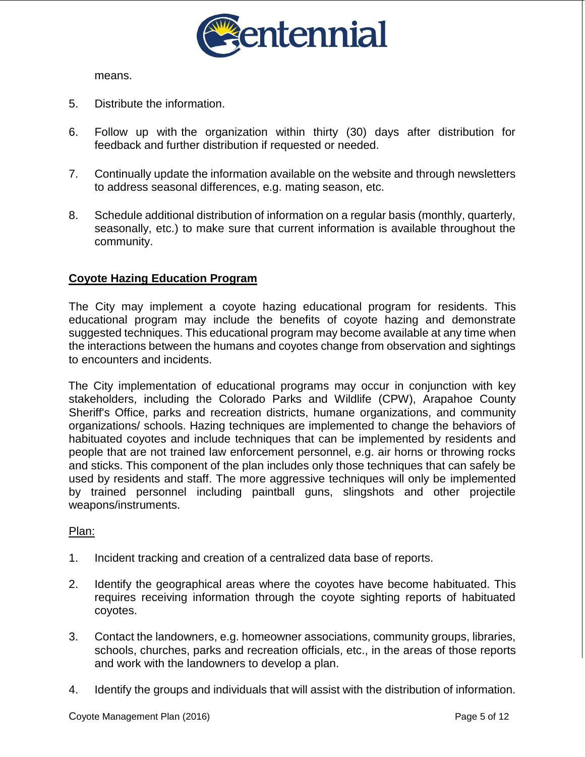

means.

- 5. Distribute the information.
- 6. Follow up with the organization within thirty (30) days after distribution for feedback and further distribution if requested or needed.
- 7. Continually update the information available on the website and through newsletters to address seasonal differences, e.g. mating season, etc.
- 8. Schedule additional distribution of information on a regular basis (monthly, quarterly, seasonally, etc.) to make sure that current information is available throughout the community.

# **Coyote Hazing Education Program**

The City may implement a coyote hazing educational program for residents. This educational program may include the benefits of coyote hazing and demonstrate suggested techniques. This educational program may become available at any time when the interactions between the humans and coyotes change from observation and sightings to encounters and incidents.

The City implementation of educational programs may occur in conjunction with key stakeholders, including the Colorado Parks and Wildlife (CPW), Arapahoe County Sheriff's Office, parks and recreation districts, humane organizations, and community organizations/ schools. Hazing techniques are implemented to change the behaviors of habituated coyotes and include techniques that can be implemented by residents and people that are not trained law enforcement personnel, e.g. air horns or throwing rocks and sticks. This component of the plan includes only those techniques that can safely be used by residents and staff. The more aggressive techniques will only be implemented by trained personnel including paintball guns, slingshots and other projectile weapons/instruments.

### Plan:

- 1. Incident tracking and creation of a centralized data base of reports.
- 2. Identify the geographical areas where the coyotes have become habituated. This requires receiving information through the coyote sighting reports of habituated coyotes.
- 3. Contact the landowners, e.g. homeowner associations, community groups, libraries, schools, churches, parks and recreation officials, etc., in the areas of those reports and work with the landowners to develop a plan.
- 4. Identify the groups and individuals that will assist with the distribution of information.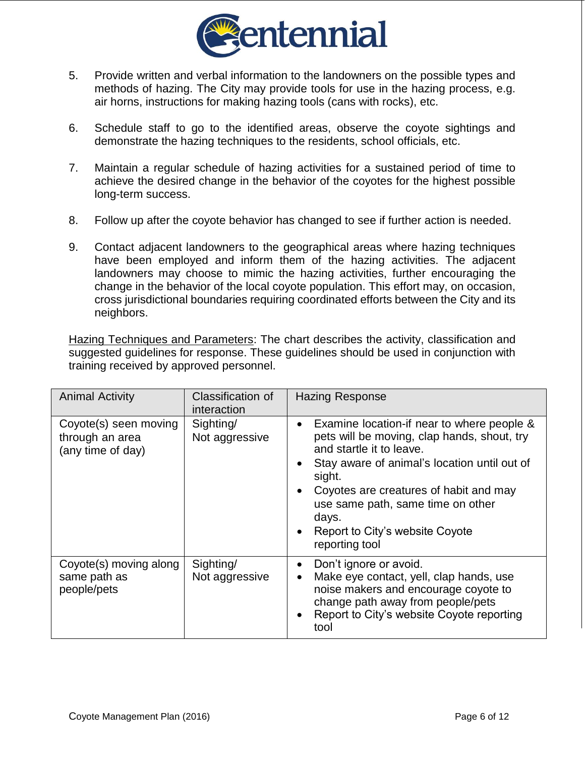

- 5. Provide written and verbal information to the landowners on the possible types and methods of hazing. The City may provide tools for use in the hazing process, e.g. air horns, instructions for making hazing tools (cans with rocks), etc.
- 6. Schedule staff to go to the identified areas, observe the coyote sightings and demonstrate the hazing techniques to the residents, school officials, etc.
- 7. Maintain a regular schedule of hazing activities for a sustained period of time to achieve the desired change in the behavior of the coyotes for the highest possible long-term success.
- 8. Follow up after the coyote behavior has changed to see if further action is needed.
- 9. Contact adjacent landowners to the geographical areas where hazing techniques have been employed and inform them of the hazing activities. The adjacent landowners may choose to mimic the hazing activities, further encouraging the change in the behavior of the local coyote population. This effort may, on occasion, cross jurisdictional boundaries requiring coordinated efforts between the City and its neighbors.

Hazing Techniques and Parameters: The chart describes the activity, classification and suggested guidelines for response. These guidelines should be used in conjunction with training received by approved personnel.

| <b>Animal Activity</b>                                        | Classification of<br>interaction | <b>Hazing Response</b>                                                                                                                                                                                                                                                                                                                                                           |
|---------------------------------------------------------------|----------------------------------|----------------------------------------------------------------------------------------------------------------------------------------------------------------------------------------------------------------------------------------------------------------------------------------------------------------------------------------------------------------------------------|
| Coyote(s) seen moving<br>through an area<br>(any time of day) | Sighting/<br>Not aggressive      | Examine location-if near to where people &<br>$\bullet$<br>pets will be moving, clap hands, shout, try<br>and startle it to leave.<br>Stay aware of animal's location until out of<br>$\bullet$<br>sight.<br>Coyotes are creatures of habit and may<br>$\bullet$<br>use same path, same time on other<br>days.<br>Report to City's website Coyote<br>$\bullet$<br>reporting tool |
| Coyote(s) moving along<br>same path as<br>people/pets         | Sighting/<br>Not aggressive      | Don't ignore or avoid.<br>$\bullet$<br>Make eye contact, yell, clap hands, use<br>$\bullet$<br>noise makers and encourage coyote to<br>change path away from people/pets<br>Report to City's website Coyote reporting<br>$\bullet$<br>tool                                                                                                                                       |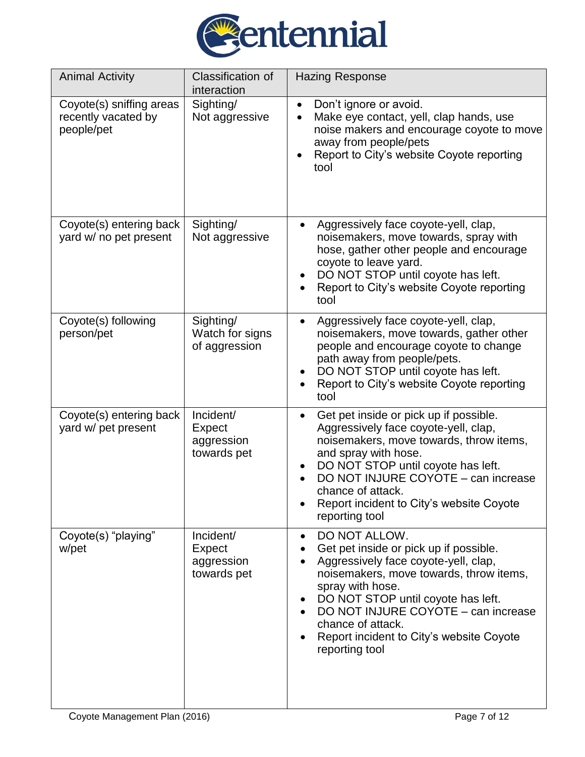

| <b>Animal Activity</b>                                        | Classification of<br>interaction                 | <b>Hazing Response</b>                                                                                                                                                                                                                                                                                                                      |
|---------------------------------------------------------------|--------------------------------------------------|---------------------------------------------------------------------------------------------------------------------------------------------------------------------------------------------------------------------------------------------------------------------------------------------------------------------------------------------|
| Coyote(s) sniffing areas<br>recently vacated by<br>people/pet | Sighting/<br>Not aggressive                      | Don't ignore or avoid.<br>$\bullet$<br>Make eye contact, yell, clap hands, use<br>$\bullet$<br>noise makers and encourage coyote to move<br>away from people/pets<br>Report to City's website Coyote reporting<br>tool                                                                                                                      |
| Coyote(s) entering back<br>yard w/ no pet present             | Sighting/<br>Not aggressive                      | Aggressively face coyote-yell, clap,<br>noisemakers, move towards, spray with<br>hose, gather other people and encourage<br>coyote to leave yard.<br>DO NOT STOP until coyote has left.<br>Report to City's website Coyote reporting<br>tool                                                                                                |
| Coyote(s) following<br>person/pet                             | Sighting/<br>Watch for signs<br>of aggression    | Aggressively face coyote-yell, clap,<br>$\bullet$<br>noisemakers, move towards, gather other<br>people and encourage coyote to change<br>path away from people/pets.<br>DO NOT STOP until coyote has left.<br>Report to City's website Coyote reporting<br>tool                                                                             |
| Coyote(s) entering back<br>yard w/ pet present                | Incident/<br>Expect<br>aggression<br>towards pet | Get pet inside or pick up if possible.<br>Aggressively face coyote-yell, clap,<br>noisemakers, move towards, throw items,<br>and spray with hose.<br>DO NOT STOP until coyote has left.<br>DO NOT INJURE COYOTE - can increase<br>chance of attack.<br>Report incident to City's website Coyote<br>reporting tool                           |
| Coyote(s) "playing"<br>w/pet                                  | Incident/<br>Expect<br>aggression<br>towards pet | DO NOT ALLOW.<br>$\bullet$<br>Get pet inside or pick up if possible.<br>Aggressively face coyote-yell, clap,<br>noisemakers, move towards, throw items,<br>spray with hose.<br>DO NOT STOP until coyote has left.<br>DO NOT INJURE COYOTE - can increase<br>chance of attack.<br>Report incident to City's website Coyote<br>reporting tool |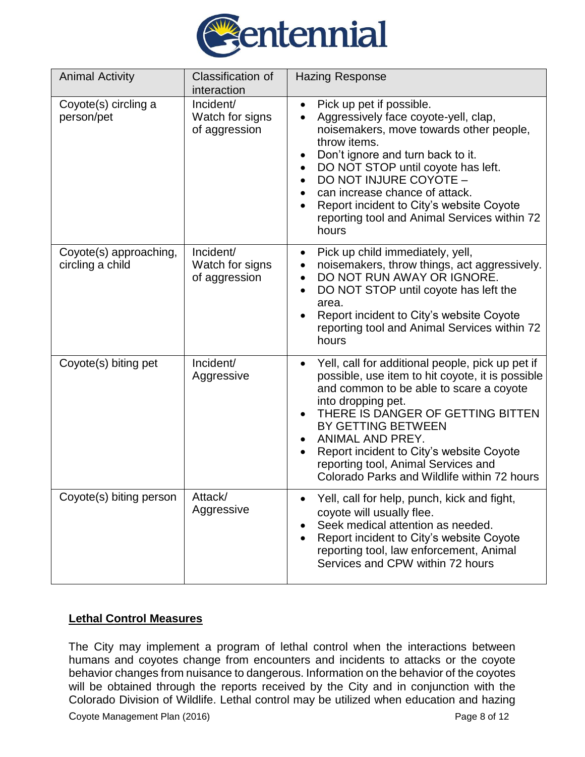

| <b>Animal Activity</b>                     | <b>Classification of</b><br>interaction       | <b>Hazing Response</b>                                                                                                                                                                                                                                                                                                                                                                 |
|--------------------------------------------|-----------------------------------------------|----------------------------------------------------------------------------------------------------------------------------------------------------------------------------------------------------------------------------------------------------------------------------------------------------------------------------------------------------------------------------------------|
| Coyote(s) circling a<br>person/pet         | Incident/<br>Watch for signs<br>of aggression | Pick up pet if possible.<br>Aggressively face coyote-yell, clap,<br>noisemakers, move towards other people,<br>throw items.<br>Don't ignore and turn back to it.<br>DO NOT STOP until coyote has left.<br>DO NOT INJURE COYOTE -<br>can increase chance of attack.<br>Report incident to City's website Coyote<br>reporting tool and Animal Services within 72<br>hours                |
| Coyote(s) approaching,<br>circling a child | Incident/<br>Watch for signs<br>of aggression | Pick up child immediately, yell,<br>$\bullet$<br>noisemakers, throw things, act aggressively.<br>$\bullet$<br>DO NOT RUN AWAY OR IGNORE.<br>DO NOT STOP until coyote has left the<br>$\bullet$<br>area.<br>Report incident to City's website Coyote<br>reporting tool and Animal Services within 72<br>hours                                                                           |
| Coyote(s) biting pet                       | Incident/<br>Aggressive                       | Yell, call for additional people, pick up pet if<br>possible, use item to hit coyote, it is possible<br>and common to be able to scare a coyote<br>into dropping pet.<br>THERE IS DANGER OF GETTING BITTEN<br>BY GETTING BETWEEN<br>ANIMAL AND PREY.<br>Report incident to City's website Coyote<br>reporting tool, Animal Services and<br>Colorado Parks and Wildlife within 72 hours |
| Coyote(s) biting person                    | Attack/<br>Aggressive                         | Yell, call for help, punch, kick and fight,<br>coyote will usually flee.<br>Seek medical attention as needed.<br>Report incident to City's website Coyote<br>reporting tool, law enforcement, Animal<br>Services and CPW within 72 hours                                                                                                                                               |

# **Lethal Control Measures**

The City may implement a program of lethal control when the interactions between humans and coyotes change from encounters and incidents to attacks or the coyote behavior changes from nuisance to dangerous. Information on the behavior of the coyotes will be obtained through the reports received by the City and in conjunction with the Colorado Division of Wildlife. Lethal control may be utilized when education and hazing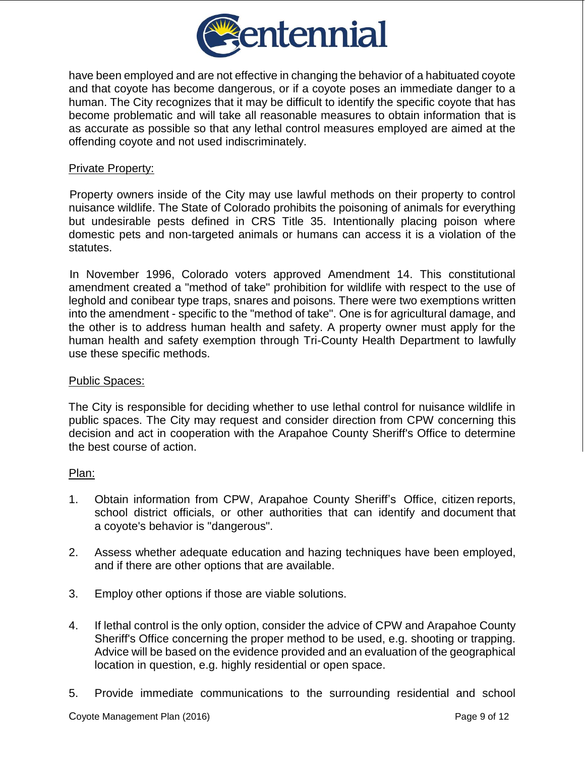

have been employed and are not effective in changing the behavior of a habituated coyote and that coyote has become dangerous, or if a coyote poses an immediate danger to a human. The City recognizes that it may be difficult to identify the specific coyote that has become problematic and will take all reasonable measures to obtain information that is as accurate as possible so that any lethal control measures employed are aimed at the offending coyote and not used indiscriminately.

### Private Property:

Property owners inside of the City may use lawful methods on their property to control nuisance wildlife. The State of Colorado prohibits the poisoning of animals for everything but undesirable pests defined in CRS Title 35. Intentionally placing poison where domestic pets and non-targeted animals or humans can access it is a violation of the statutes.

In November 1996, Colorado voters approved Amendment 14. This constitutional amendment created a "method of take" prohibition for wildlife with respect to the use of leghold and conibear type traps, snares and poisons. There were two exemptions written into the amendment - specific to the "method of take". One is for agricultural damage, and the other is to address human health and safety. A property owner must apply for the human health and safety exemption through Tri-County Health Department to lawfully use these specific methods.

#### Public Spaces:

The City is responsible for deciding whether to use lethal control for nuisance wildlife in public spaces. The City may request and consider direction from CPW concerning this decision and act in cooperation with the Arapahoe County Sheriff's Office to determine the best course of action.

#### Plan:

- 1. Obtain information from CPW, Arapahoe County Sheriff's Office, citizen reports, school district officials, or other authorities that can identify and document that a coyote's behavior is "dangerous".
- 2. Assess whether adequate education and hazing techniques have been employed, and if there are other options that are available.
- 3. Employ other options if those are viable solutions.
- 4. If lethal control is the only option, consider the advice of CPW and Arapahoe County Sheriff's Office concerning the proper method to be used, e.g. shooting or trapping. Advice will be based on the evidence provided and an evaluation of the geographical location in question, e.g. highly residential or open space.
- 5. Provide immediate communications to the surrounding residential and school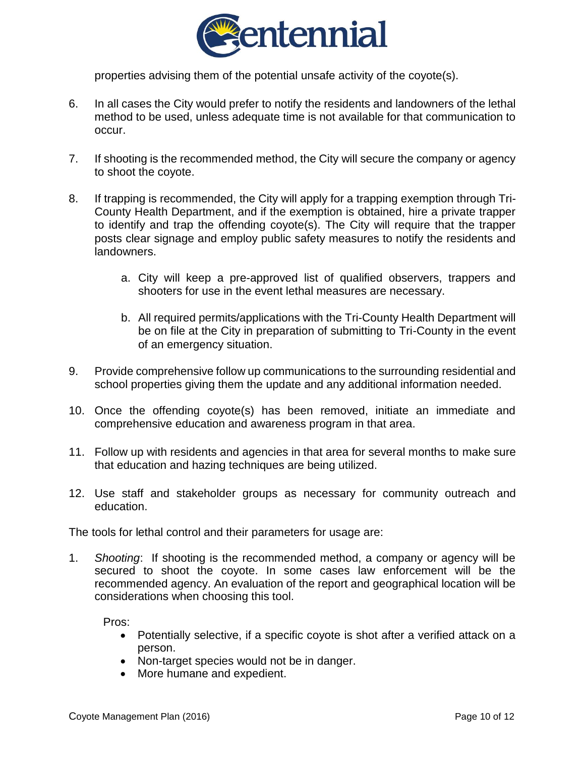

properties advising them of the potential unsafe activity of the coyote(s).

- 6. In all cases the City would prefer to notify the residents and landowners of the lethal method to be used, unless adequate time is not available for that communication to occur.
- 7. If shooting is the recommended method, the City will secure the company or agency to shoot the coyote.
- 8. If trapping is recommended, the City will apply for a trapping exemption through Tri-County Health Department, and if the exemption is obtained, hire a private trapper to identify and trap the offending coyote(s). The City will require that the trapper posts clear signage and employ public safety measures to notify the residents and landowners.
	- a. City will keep a pre-approved list of qualified observers, trappers and shooters for use in the event lethal measures are necessary.
	- b. All required permits/applications with the Tri-County Health Department will be on file at the City in preparation of submitting to Tri-County in the event of an emergency situation.
- 9. Provide comprehensive follow up communications to the surrounding residential and school properties giving them the update and any additional information needed.
- 10. Once the offending coyote(s) has been removed, initiate an immediate and comprehensive education and awareness program in that area.
- 11. Follow up with residents and agencies in that area for several months to make sure that education and hazing techniques are being utilized.
- 12. Use staff and stakeholder groups as necessary for community outreach and education.

The tools for lethal control and their parameters for usage are:

1. *Shooting*: If shooting is the recommended method, a company or agency will be secured to shoot the coyote. In some cases law enforcement will be the recommended agency. An evaluation of the report and geographical location will be considerations when choosing this tool.

Pros:

- Potentially selective, if a specific coyote is shot after a verified attack on a person.
- Non-target species would not be in danger.
- More humane and expedient.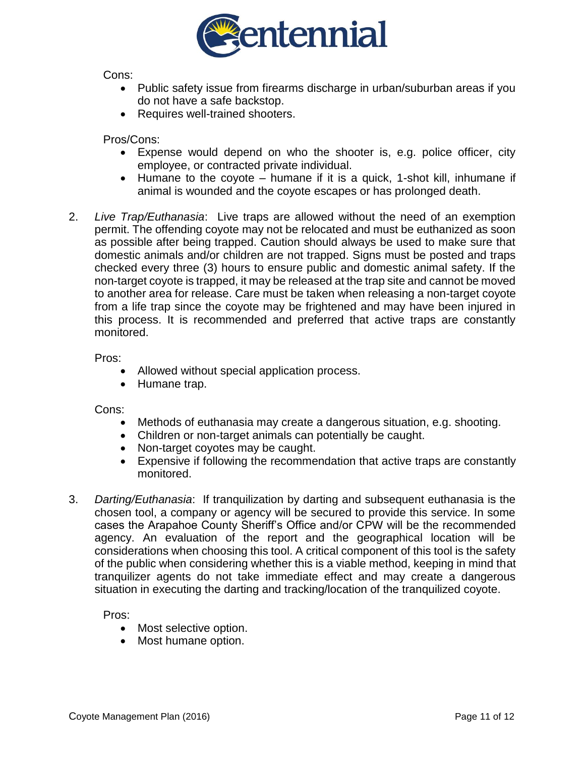

Cons:

- Public safety issue from firearms discharge in urban/suburban areas if you do not have a safe backstop.
- Requires well-trained shooters.

Pros/Cons:

- Expense would depend on who the shooter is, e.g. police officer, city employee, or contracted private individual.
- $\bullet$  Humane to the coyote humane if it is a quick, 1-shot kill, inhumane if animal is wounded and the coyote escapes or has prolonged death.
- 2. *Live Trap/Euthanasia*: Live traps are allowed without the need of an exemption permit. The offending coyote may not be relocated and must be euthanized as soon as possible after being trapped. Caution should always be used to make sure that domestic animals and/or children are not trapped. Signs must be posted and traps checked every three (3) hours to ensure public and domestic animal safety. If the non-target coyote is trapped, it may be released at the trap site and cannot be moved to another area for release. Care must be taken when releasing a non-target coyote from a life trap since the coyote may be frightened and may have been injured in this process. It is recommended and preferred that active traps are constantly monitored.

Pros:

- Allowed without special application process.
- Humane trap.

Cons:

- Methods of euthanasia may create a dangerous situation, e.g. shooting.
- Children or non-target animals can potentially be caught.
- Non-target coyotes may be caught.
- Expensive if following the recommendation that active traps are constantly monitored.
- 3. *Darting/Euthanasia*: If tranquilization by darting and subsequent euthanasia is the chosen tool, a company or agency will be secured to provide this service. In some cases the Arapahoe County Sheriff's Office and/or CPW will be the recommended agency. An evaluation of the report and the geographical location will be considerations when choosing this tool. A critical component of this tool is the safety of the public when considering whether this is a viable method, keeping in mind that tranquilizer agents do not take immediate effect and may create a dangerous situation in executing the darting and tracking/location of the tranquilized coyote.

Pros:

- Most selective option.
- Most humane option.